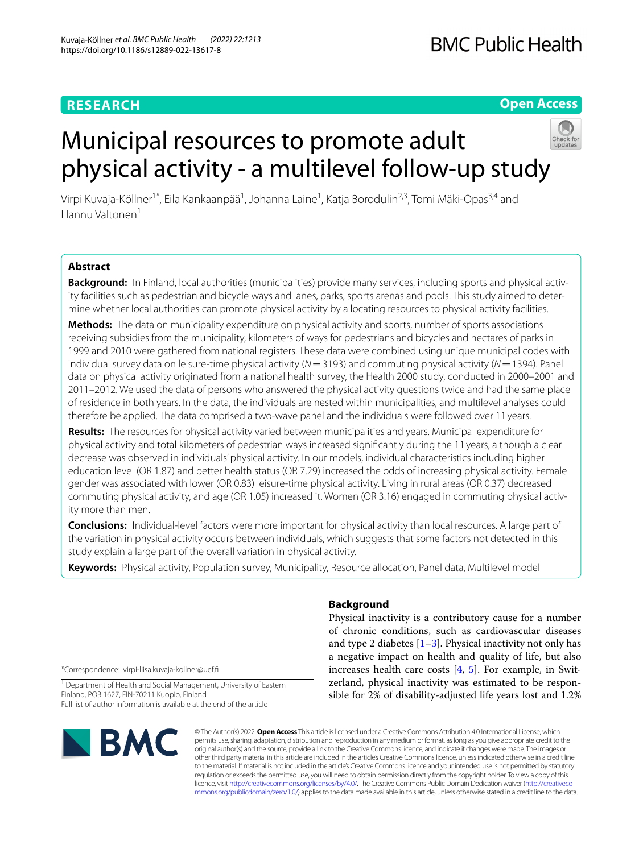## **RESEARCH**

## **Open Access**

# Municipal resources to promote adult physical activity ‑ a multilevel follow‑up study



Virpi Kuvaja-Köllner<sup>1\*</sup>, Eila Kankaanpää<sup>1</sup>, Johanna Laine<sup>1</sup>, Katja Borodulin<sup>2,3</sup>, Tomi Mäki-Opas<sup>3,4</sup> and Hannu Valtonen<sup>1</sup>

## **Abstract**

Background: In Finland, local authorities (municipalities) provide many services, including sports and physical activity facilities such as pedestrian and bicycle ways and lanes, parks, sports arenas and pools. This study aimed to determine whether local authorities can promote physical activity by allocating resources to physical activity facilities.

**Methods:** The data on municipality expenditure on physical activity and sports, number of sports associations receiving subsidies from the municipality, kilometers of ways for pedestrians and bicycles and hectares of parks in 1999 and 2010 were gathered from national registers. These data were combined using unique municipal codes with individual survey data on leisure-time physical activity (*N*=3193) and commuting physical activity (*N*=1394). Panel data on physical activity originated from a national health survey, the Health 2000 study, conducted in 2000–2001 and 2011–2012. We used the data of persons who answered the physical activity questions twice and had the same place of residence in both years. In the data, the individuals are nested within municipalities, and multilevel analyses could therefore be applied. The data comprised a two-wave panel and the individuals were followed over 11 years.

**Results:** The resources for physical activity varied between municipalities and years. Municipal expenditure for physical activity and total kilometers of pedestrian ways increased signifcantly during the 11 years, although a clear decrease was observed in individuals' physical activity. In our models, individual characteristics including higher education level (OR 1.87) and better health status (OR 7.29) increased the odds of increasing physical activity. Female gender was associated with lower (OR 0.83) leisure-time physical activity. Living in rural areas (OR 0.37) decreased commuting physical activity, and age (OR 1.05) increased it. Women (OR 3.16) engaged in commuting physical activ‑ ity more than men.

**Conclusions:** Individual-level factors were more important for physical activity than local resources. A large part of the variation in physical activity occurs between individuals, which suggests that some factors not detected in this study explain a large part of the overall variation in physical activity.

**Keywords:** Physical activity, Population survey, Municipality, Resource allocation, Panel data, Multilevel model

\*Correspondence: virpi-liisa.kuvaja-kollner@uef.f

<sup>1</sup> Department of Health and Social Management, University of Eastern Finland, POB 1627, FIN‑70211 Kuopio, Finland Full list of author information is available at the end of the article



## **Background**

Physical inactivity is a contributory cause for a number of chronic conditions, such as cardiovascular diseases and type 2 diabetes  $[1-3]$  $[1-3]$ . Physical inactivity not only has a negative impact on health and quality of life, but also increases health care costs [\[4](#page-10-2), [5](#page-10-3)]. For example, in Switzerland, physical inactivity was estimated to be responsible for 2% of disability-adjusted life years lost and 1.2%

© The Author(s) 2022. **Open Access** This article is licensed under a Creative Commons Attribution 4.0 International License, which permits use, sharing, adaptation, distribution and reproduction in any medium or format, as long as you give appropriate credit to the original author(s) and the source, provide a link to the Creative Commons licence, and indicate if changes were made. The images or other third party material in this article are included in the article's Creative Commons licence, unless indicated otherwise in a credit line to the material. If material is not included in the article's Creative Commons licence and your intended use is not permitted by statutory regulation or exceeds the permitted use, you will need to obtain permission directly from the copyright holder. To view a copy of this licence, visit [http://creativecommons.org/licenses/by/4.0/.](http://creativecommons.org/licenses/by/4.0/) The Creative Commons Public Domain Dedication waiver ([http://creativeco](http://creativecommons.org/publicdomain/zero/1.0/) [mmons.org/publicdomain/zero/1.0/](http://creativecommons.org/publicdomain/zero/1.0/)) applies to the data made available in this article, unless otherwise stated in a credit line to the data.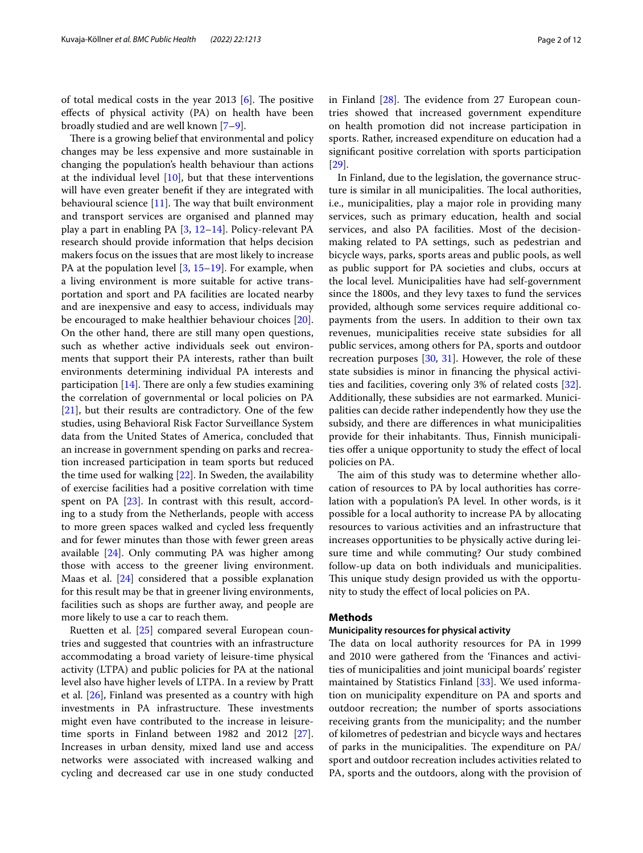of total medical costs in the year 2013  $[6]$  $[6]$ . The positive efects of physical activity (PA) on health have been broadly studied and are well known [[7–](#page-10-5)[9\]](#page-10-6).

There is a growing belief that environmental and policy changes may be less expensive and more sustainable in changing the population's health behaviour than actions at the individual level [[10\]](#page-10-7), but that these interventions will have even greater beneft if they are integrated with behavioural science  $[11]$  $[11]$ . The way that built environment and transport services are organised and planned may play a part in enabling PA [\[3](#page-10-1), [12](#page-10-9)[–14\]](#page-10-10). Policy-relevant PA research should provide information that helps decision makers focus on the issues that are most likely to increase PA at the population level  $[3, 15-19]$  $[3, 15-19]$  $[3, 15-19]$ . For example, when a living environment is more suitable for active transportation and sport and PA facilities are located nearby and are inexpensive and easy to access, individuals may be encouraged to make healthier behaviour choices [\[20](#page-10-13)]. On the other hand, there are still many open questions, such as whether active individuals seek out environments that support their PA interests, rather than built environments determining individual PA interests and participation  $[14]$ . There are only a few studies examining the correlation of governmental or local policies on PA [[21\]](#page-10-14), but their results are contradictory. One of the few studies, using Behavioral Risk Factor Surveillance System data from the United States of America, concluded that an increase in government spending on parks and recreation increased participation in team sports but reduced the time used for walking [\[22](#page-10-15)]. In Sweden, the availability of exercise facilities had a positive correlation with time spent on PA [[23](#page-10-16)]. In contrast with this result, according to a study from the Netherlands, people with access to more green spaces walked and cycled less frequently and for fewer minutes than those with fewer green areas available [[24](#page-10-17)]. Only commuting PA was higher among those with access to the greener living environment. Maas et al. [\[24\]](#page-10-17) considered that a possible explanation for this result may be that in greener living environments, facilities such as shops are further away, and people are more likely to use a car to reach them.

Ruetten et al. [[25\]](#page-10-18) compared several European countries and suggested that countries with an infrastructure accommodating a broad variety of leisure-time physical activity (LTPA) and public policies for PA at the national level also have higher levels of LTPA. In a review by Pratt et al. [\[26\]](#page-10-19), Finland was presented as a country with high investments in PA infrastructure. These investments might even have contributed to the increase in leisuretime sports in Finland between 1982 and 2012 [\[27](#page-10-20)]. Increases in urban density, mixed land use and access networks were associated with increased walking and cycling and decreased car use in one study conducted in Finland  $[28]$  $[28]$ . The evidence from 27 European countries showed that increased government expenditure on health promotion did not increase participation in sports. Rather, increased expenditure on education had a signifcant positive correlation with sports participation [[29\]](#page-10-22).

In Finland, due to the legislation, the governance structure is similar in all municipalities. The local authorities, i.e., municipalities, play a major role in providing many services, such as primary education, health and social services, and also PA facilities. Most of the decisionmaking related to PA settings, such as pedestrian and bicycle ways, parks, sports areas and public pools, as well as public support for PA societies and clubs, occurs at the local level. Municipalities have had self-government since the 1800s, and they levy taxes to fund the services provided, although some services require additional copayments from the users. In addition to their own tax revenues, municipalities receive state subsidies for all public services, among others for PA, sports and outdoor recreation purposes [[30,](#page-10-23) [31](#page-10-24)]. However, the role of these state subsidies is minor in fnancing the physical activities and facilities, covering only 3% of related costs [\[32](#page-10-25)]. Additionally, these subsidies are not earmarked. Municipalities can decide rather independently how they use the subsidy, and there are diferences in what municipalities provide for their inhabitants. Thus, Finnish municipalities offer a unique opportunity to study the effect of local policies on PA.

The aim of this study was to determine whether allocation of resources to PA by local authorities has correlation with a population's PA level. In other words, is it possible for a local authority to increase PA by allocating resources to various activities and an infrastructure that increases opportunities to be physically active during leisure time and while commuting? Our study combined follow-up data on both individuals and municipalities. This unique study design provided us with the opportunity to study the efect of local policies on PA.

## **Methods**

#### **Municipality resources for physical activity**

The data on local authority resources for PA in 1999 and 2010 were gathered from the 'Finances and activities of municipalities and joint municipal boards' register maintained by Statistics Finland [\[33](#page-10-26)]. We used information on municipality expenditure on PA and sports and outdoor recreation; the number of sports associations receiving grants from the municipality; and the number of kilometres of pedestrian and bicycle ways and hectares of parks in the municipalities. The expenditure on  $PA/$ sport and outdoor recreation includes activities related to PA, sports and the outdoors, along with the provision of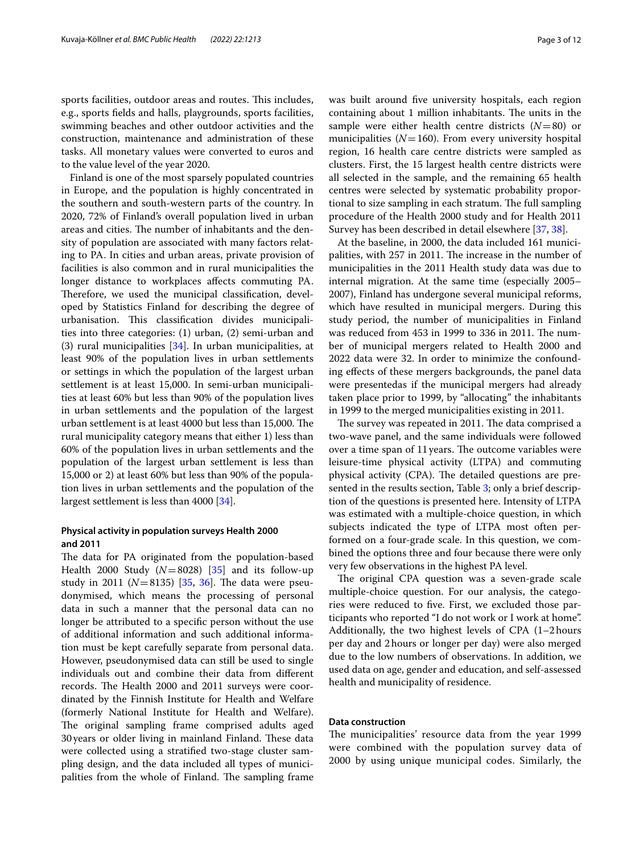sports facilities, outdoor areas and routes. This includes, e.g., sports felds and halls, playgrounds, sports facilities, swimming beaches and other outdoor activities and the construction, maintenance and administration of these tasks. All monetary values were converted to euros and to the value level of the year 2020.

Finland is one of the most sparsely populated countries in Europe, and the population is highly concentrated in the southern and south-western parts of the country. In 2020, 72% of Finland's overall population lived in urban areas and cities. The number of inhabitants and the density of population are associated with many factors relating to PA. In cities and urban areas, private provision of facilities is also common and in rural municipalities the longer distance to workplaces afects commuting PA. Therefore, we used the municipal classification, developed by Statistics Finland for describing the degree of urbanisation. This classification divides municipalities into three categories: (1) urban, (2) semi-urban and (3) rural municipalities  $[34]$  $[34]$ . In urban municipalities, at least 90% of the population lives in urban settlements or settings in which the population of the largest urban settlement is at least 15,000. In semi-urban municipalities at least 60% but less than 90% of the population lives in urban settlements and the population of the largest urban settlement is at least 4000 but less than 15,000. The rural municipality category means that either 1) less than 60% of the population lives in urban settlements and the population of the largest urban settlement is less than 15,000 or 2) at least 60% but less than 90% of the population lives in urban settlements and the population of the largest settlement is less than 4000 [\[34\]](#page-10-27).

## **Physical activity in population surveys Health 2000 and 2011**

The data for PA originated from the population-based Health 2000 Study  $(N=8028)$  [\[35\]](#page-10-28) and its follow-up study in 2011 ( $N=8135$ ) [ $35, 36$  $35, 36$  $35, 36$ ]. The data were pseudonymised, which means the processing of personal data in such a manner that the personal data can no longer be attributed to a specifc person without the use of additional information and such additional information must be kept carefully separate from personal data. However, pseudonymised data can still be used to single individuals out and combine their data from diferent records. The Health 2000 and 2011 surveys were coordinated by the Finnish Institute for Health and Welfare (formerly National Institute for Health and Welfare). The original sampling frame comprised adults aged 30 years or older living in mainland Finland. These data were collected using a stratifed two-stage cluster sampling design, and the data included all types of municipalities from the whole of Finland. The sampling frame was built around fve university hospitals, each region containing about 1 million inhabitants. The units in the sample were either health centre districts (*N*=80) or municipalities  $(N=160)$ . From every university hospital region, 16 health care centre districts were sampled as clusters. First, the 15 largest health centre districts were all selected in the sample, and the remaining 65 health centres were selected by systematic probability proportional to size sampling in each stratum. The full sampling procedure of the Health 2000 study and for Health 2011 Survey has been described in detail elsewhere [[37](#page-10-30), [38\]](#page-10-31).

At the baseline, in 2000, the data included 161 municipalities, with 257 in 2011. The increase in the number of municipalities in the 2011 Health study data was due to internal migration. At the same time (especially 2005– 2007), Finland has undergone several municipal reforms, which have resulted in municipal mergers. During this study period, the number of municipalities in Finland was reduced from 453 in 1999 to 336 in 2011. The number of municipal mergers related to Health 2000 and 2022 data were 32. In order to minimize the confounding efects of these mergers backgrounds, the panel data were presentedas if the municipal mergers had already taken place prior to 1999, by "allocating" the inhabitants in 1999 to the merged municipalities existing in 2011.

The survey was repeated in 2011. The data comprised a two-wave panel, and the same individuals were followed over a time span of 11 years. The outcome variables were leisure-time physical activity (LTPA) and commuting physical activity (CPA). The detailed questions are presented in the results section, Table [3](#page-5-0); only a brief description of the questions is presented here. Intensity of LTPA was estimated with a multiple-choice question, in which subjects indicated the type of LTPA most often performed on a four-grade scale. In this question, we combined the options three and four because there were only very few observations in the highest PA level.

The original CPA question was a seven-grade scale multiple-choice question. For our analysis, the categories were reduced to fve. First, we excluded those participants who reported "I do not work or I work at home". Additionally, the two highest levels of CPA (1–2hours per day and 2hours or longer per day) were also merged due to the low numbers of observations. In addition, we used data on age, gender and education, and self-assessed health and municipality of residence.

## **Data construction**

The municipalities' resource data from the year 1999 were combined with the population survey data of 2000 by using unique municipal codes. Similarly, the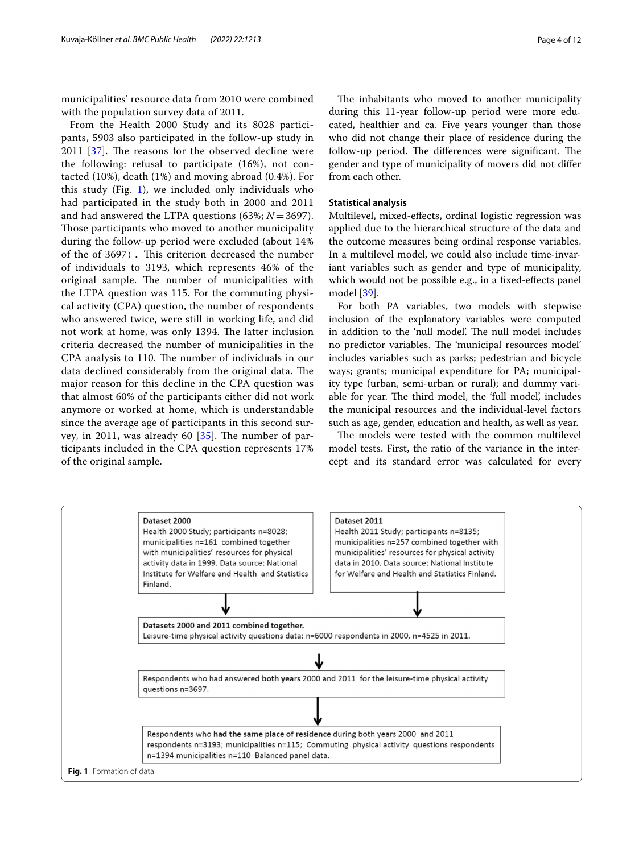municipalities' resource data from 2010 were combined with the population survey data of 2011.

From the Health 2000 Study and its 8028 participants, 5903 also participated in the follow-up study in  $2011$   $[37]$  $[37]$ . The reasons for the observed decline were the following: refusal to participate (16%), not contacted (10%), death (1%) and moving abroad (0.4%). For this study (Fig. [1](#page-3-0)), we included only individuals who had participated in the study both in 2000 and 2011 and had answered the LTPA questions (63%; *N*=3697). Those participants who moved to another municipality during the follow-up period were excluded (about 14% of the of 3697). This criterion decreased the number of individuals to 3193, which represents 46% of the original sample. The number of municipalities with the LTPA question was 115. For the commuting physical activity (CPA) question, the number of respondents who answered twice, were still in working life, and did not work at home, was only 1394. The latter inclusion criteria decreased the number of municipalities in the CPA analysis to 110. The number of individuals in our data declined considerably from the original data. The major reason for this decline in the CPA question was that almost 60% of the participants either did not work anymore or worked at home, which is understandable since the average age of participants in this second survey, in 2011, was already 60  $[35]$ . The number of participants included in the CPA question represents 17% of the original sample.

The inhabitants who moved to another municipality during this 11-year follow-up period were more educated, healthier and ca. Five years younger than those who did not change their place of residence during the follow-up period. The differences were significant. The gender and type of municipality of movers did not difer from each other.

#### **Statistical analysis**

Multilevel, mixed-efects, ordinal logistic regression was applied due to the hierarchical structure of the data and the outcome measures being ordinal response variables. In a multilevel model, we could also include time-invariant variables such as gender and type of municipality, which would not be possible e.g., in a fixed-effects panel model [[39\]](#page-10-32).

For both PA variables, two models with stepwise inclusion of the explanatory variables were computed in addition to the 'null model'. The null model includes no predictor variables. The 'municipal resources model' includes variables such as parks; pedestrian and bicycle ways; grants; municipal expenditure for PA; municipality type (urban, semi-urban or rural); and dummy variable for year. The third model, the 'full model', includes the municipal resources and the individual-level factors such as age, gender, education and health, as well as year.

The models were tested with the common multilevel model tests. First, the ratio of the variance in the intercept and its standard error was calculated for every

<span id="page-3-0"></span>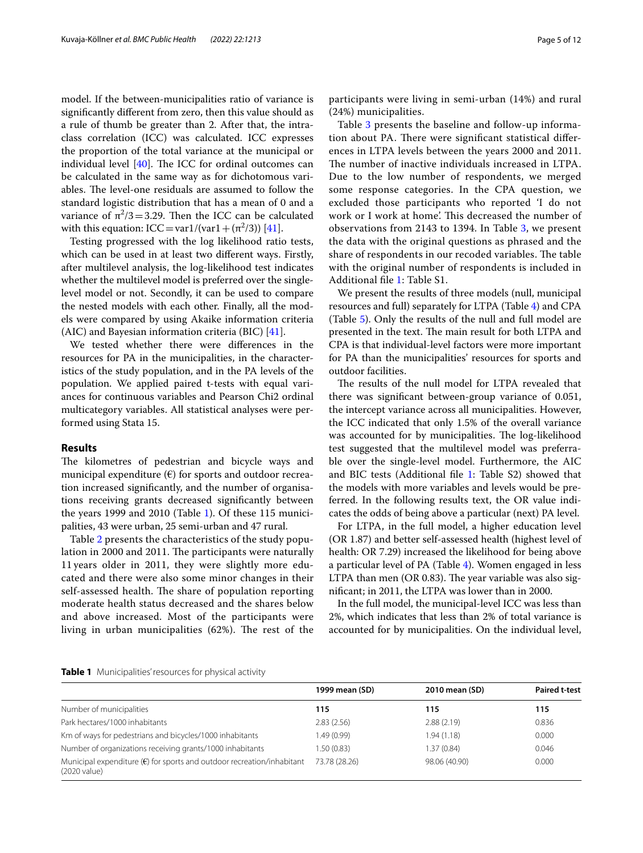model. If the between-municipalities ratio of variance is signifcantly diferent from zero, then this value should as a rule of thumb be greater than 2. After that, the intraclass correlation (ICC) was calculated. ICC expresses the proportion of the total variance at the municipal or individual level  $[40]$  $[40]$  $[40]$ . The ICC for ordinal outcomes can be calculated in the same way as for dichotomous variables. The level-one residuals are assumed to follow the standard logistic distribution that has a mean of 0 and a variance of  $\pi^2/3$  = 3.29. Then the ICC can be calculated with this equation:  $ICC=var1/(var1+(\pi^2/3))$  [\[41](#page-11-1)].

Testing progressed with the log likelihood ratio tests, which can be used in at least two diferent ways. Firstly, after multilevel analysis, the log-likelihood test indicates whether the multilevel model is preferred over the singlelevel model or not. Secondly, it can be used to compare the nested models with each other. Finally, all the models were compared by using Akaike information criteria (AIC) and Bayesian information criteria (BIC) [\[41](#page-11-1)].

We tested whether there were diferences in the resources for PA in the municipalities, in the characteristics of the study population, and in the PA levels of the population. We applied paired t-tests with equal variances for continuous variables and Pearson Chi2 ordinal multicategory variables. All statistical analyses were performed using Stata 15.

#### **Results**

The kilometres of pedestrian and bicycle ways and municipal expenditure  $(\epsilon)$  for sports and outdoor recreation increased signifcantly, and the number of organisations receiving grants decreased signifcantly between the years 1999 and 2010 (Table [1\)](#page-4-0). Of these 115 municipalities, 43 were urban, 25 semi-urban and 47 rural.

Table [2](#page-5-1) presents the characteristics of the study population in 2000 and 2011. The participants were naturally 11 years older in 2011, they were slightly more educated and there were also some minor changes in their self-assessed health. The share of population reporting moderate health status decreased and the shares below and above increased. Most of the participants were living in urban municipalities  $(62%)$ . The rest of the participants were living in semi-urban (14%) and rural (24%) municipalities.

Table [3](#page-5-0) presents the baseline and follow-up information about PA. There were significant statistical differences in LTPA levels between the years 2000 and 2011. The number of inactive individuals increased in LTPA. Due to the low number of respondents, we merged some response categories. In the CPA question, we excluded those participants who reported 'I do not work or I work at home'. This decreased the number of observations from 2143 to 1394. In Table [3,](#page-5-0) we present the data with the original questions as phrased and the share of respondents in our recoded variables. The table with the original number of respondents is included in Additional fle [1](#page-9-0): Table S1.

We present the results of three models (null, municipal resources and full) separately for LTPA (Table [4](#page-6-0)) and CPA (Table [5](#page-7-0)). Only the results of the null and full model are presented in the text. The main result for both LTPA and CPA is that individual-level factors were more important for PA than the municipalities' resources for sports and outdoor facilities.

The results of the null model for LTPA revealed that there was signifcant between-group variance of 0.051, the intercept variance across all municipalities. However, the ICC indicated that only 1.5% of the overall variance was accounted for by municipalities. The log-likelihood test suggested that the multilevel model was preferrable over the single-level model. Furthermore, the AIC and BIC tests (Additional fle [1](#page-9-0): Table S2) showed that the models with more variables and levels would be preferred. In the following results text, the OR value indicates the odds of being above a particular (next) PA level.

For LTPA, in the full model, a higher education level (OR 1.87) and better self-assessed health (highest level of health: OR 7.29) increased the likelihood for being above a particular level of PA (Table [4\)](#page-6-0). Women engaged in less LTPA than men (OR 0.83). The year variable was also signifcant; in 2011, the LTPA was lower than in 2000.

In the full model, the municipal-level ICC was less than 2%, which indicates that less than 2% of total variance is accounted for by municipalities. On the individual level,

<span id="page-4-0"></span>

|  | Table 1 Municipalities' resources for physical activity |  |  |  |
|--|---------------------------------------------------------|--|--|--|
|--|---------------------------------------------------------|--|--|--|

|                                                                                                 | 1999 mean (SD) | 2010 mean (SD) | <b>Paired t-test</b> |
|-------------------------------------------------------------------------------------------------|----------------|----------------|----------------------|
| Number of municipalities                                                                        | 115            | 115            | 115                  |
| Park hectares/1000 inhabitants                                                                  | 2.83(2.56)     | 2.88(2.19)     | 0.836                |
| Km of ways for pedestrians and bicycles/1000 inhabitants                                        | 1.49(0.99)     | 1.94(1.18)     | 0.000                |
| Number of organizations receiving grants/1000 inhabitants                                       | 1.50(0.83)     | 1.37(0.84)     | 0.046                |
| Municipal expenditure $(\epsilon)$ for sports and outdoor recreation/inhabitant<br>(2020 value) | 73.78 (28.26)  | 98.06 (40.90)  | 0.000                |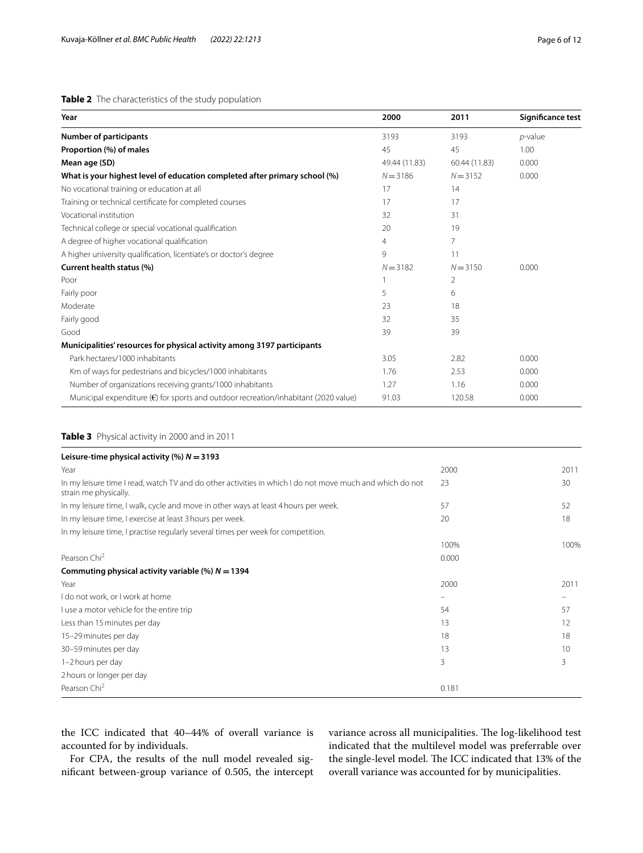## <span id="page-5-1"></span>**Table 2** The characteristics of the study population

| Year                                                                                         | 2000           | 2011          | Significance test |
|----------------------------------------------------------------------------------------------|----------------|---------------|-------------------|
| <b>Number of participants</b>                                                                | 3193           | 3193          | $p$ -value        |
| Proportion (%) of males                                                                      | 45             | 45            | 1.00              |
| Mean age (SD)                                                                                | 49.44 (11.83)  | 60.44 (11.83) | 0.000             |
| What is your highest level of education completed after primary school (%)                   | $N = 3186$     | $N = 3152$    | 0.000             |
| No vocational training or education at all                                                   | 17             | 14            |                   |
| Training or technical certificate for completed courses                                      | 17             | 17            |                   |
| Vocational institution                                                                       | 32             | 31            |                   |
| Technical college or special vocational qualification                                        | 20             | 19            |                   |
| A degree of higher vocational qualification                                                  | $\overline{4}$ | 7             |                   |
| A higher university qualification, licentiate's or doctor's degree                           | 9              | 11            |                   |
| Current health status (%)                                                                    | $N = 3182$     | $N = 3150$    | 0.000             |
| Poor                                                                                         |                | 2             |                   |
| Fairly poor                                                                                  | 5              | 6             |                   |
| Moderate                                                                                     | 23             | 18            |                   |
| Fairly good                                                                                  | 32             | 35            |                   |
| Good                                                                                         | 39             | 39            |                   |
| Municipalities' resources for physical activity among 3197 participants                      |                |               |                   |
| Park hectares/1000 inhabitants                                                               | 3.05           | 2.82          | 0.000             |
| Km of ways for pedestrians and bicycles/1000 inhabitants                                     | 1.76           | 2.53          | 0.000             |
| Number of organizations receiving grants/1000 inhabitants                                    | 1.27           | 1.16          | 0.000             |
| Municipal expenditure $(\epsilon)$ for sports and outdoor recreation/inhabitant (2020 value) | 91.03          | 120.58        | 0.000             |

## <span id="page-5-0"></span>**Table 3** Physical activity in 2000 and in 2011

| Leisure-time physical activity (%) $N = 3193$                                                                                     |       |      |
|-----------------------------------------------------------------------------------------------------------------------------------|-------|------|
| Year                                                                                                                              | 2000  | 2011 |
| In my leisure time I read, watch TV and do other activities in which I do not move much and which do not<br>strain me physically. | 23    | 30   |
| In my leisure time, I walk, cycle and move in other ways at least 4 hours per week.                                               | 57    | 52   |
| In my leisure time, I exercise at least 3 hours per week.                                                                         | 20    | 18   |
| In my leisure time, I practise regularly several times per week for competition.                                                  |       |      |
|                                                                                                                                   | 100%  | 100% |
| Pearson Chi <sup>2</sup>                                                                                                          | 0.000 |      |
| Commuting physical activity variable (%) $N = 1394$                                                                               |       |      |
| Year                                                                                                                              | 2000  | 2011 |
| I do not work, or I work at home                                                                                                  |       |      |
| I use a motor vehicle for the entire trip                                                                                         | 54    | 57   |
| Less than 15 minutes per day                                                                                                      | 13    | 12   |
| 15-29 minutes per day                                                                                                             | 18    | 18   |
| 30-59 minutes per day                                                                                                             | 13    | 10   |
| 1-2 hours per day                                                                                                                 | 3     | 3    |
| 2 hours or longer per day                                                                                                         |       |      |
| Pearson Chi <sup>2</sup>                                                                                                          | 0.181 |      |

the ICC indicated that 40–44% of overall variance is accounted for by individuals.

For CPA, the results of the null model revealed signifcant between-group variance of 0.505, the intercept variance across all municipalities. The log-likelihood test indicated that the multilevel model was preferrable over the single-level model. The ICC indicated that 13% of the overall variance was accounted for by municipalities.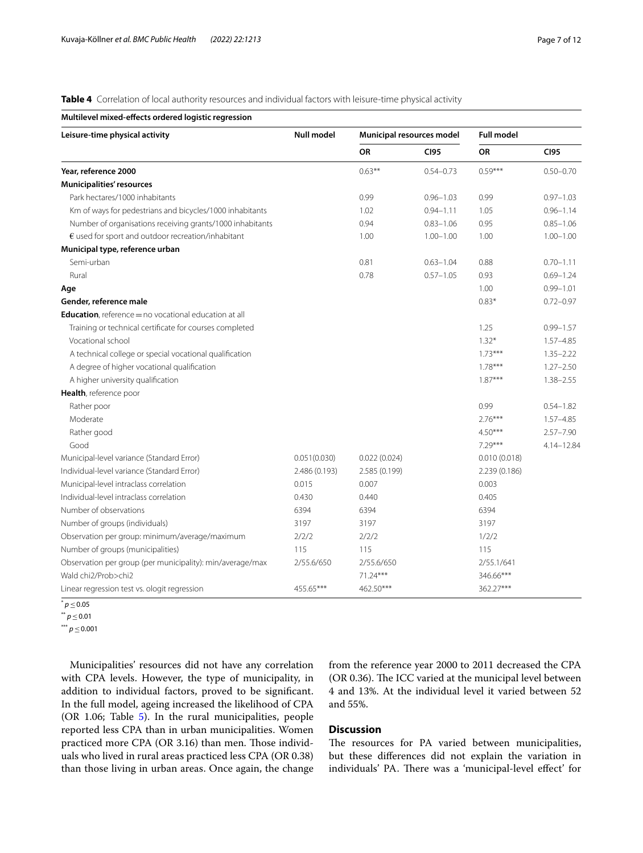<span id="page-6-0"></span>**Table 4** Correlation of local authority resources and individual factors with leisure-time physical activity

| Multilevel mixed-effects ordered logistic regression          |                   |                           |               |                   |               |  |
|---------------------------------------------------------------|-------------------|---------------------------|---------------|-------------------|---------------|--|
| Leisure-time physical activity                                | <b>Null model</b> | Municipal resources model |               | <b>Full model</b> |               |  |
|                                                               |                   | OR                        | <b>CI95</b>   | OR                | <b>CI95</b>   |  |
| Year, reference 2000                                          |                   | $0.63***$                 | $0.54 - 0.73$ | $0.59***$         | $0.50 - 0.70$ |  |
| Municipalities' resources                                     |                   |                           |               |                   |               |  |
| Park hectares/1000 inhabitants                                |                   | 0.99                      | $0.96 - 1.03$ | 0.99              | $0.97 - 1.03$ |  |
| Km of ways for pedestrians and bicycles/1000 inhabitants      |                   | 1.02                      | $0.94 - 1.11$ | 1.05              | $0.96 - 1.14$ |  |
| Number of organisations receiving grants/1000 inhabitants     |                   | 0.94                      | $0.83 - 1.06$ | 0.95              | $0.85 - 1.06$ |  |
| $\epsilon$ used for sport and outdoor recreation/inhabitant   |                   | 1.00                      | $1.00 - 1.00$ | 1.00              | $1.00 - 1.00$ |  |
| Municipal type, reference urban                               |                   |                           |               |                   |               |  |
| Semi-urban                                                    |                   | 0.81                      | $0.63 - 1.04$ | 0.88              | $0.70 - 1.11$ |  |
| Rural                                                         |                   | 0.78                      | $0.57 - 1.05$ | 0.93              | $0.69 - 1.24$ |  |
| Age                                                           |                   |                           |               | 1.00              | $0.99 - 1.01$ |  |
| Gender, reference male                                        |                   |                           |               | $0.83*$           | $0.72 - 0.97$ |  |
| <b>Education</b> , reference = no vocational education at all |                   |                           |               |                   |               |  |
| Training or technical certificate for courses completed       |                   |                           |               | 1.25              | $0.99 - 1.57$ |  |
| Vocational school                                             |                   |                           |               | $1.32*$           | $1.57 - 4.85$ |  |
| A technical college or special vocational qualification       |                   |                           |               | $1.73***$         | $1.35 - 2.22$ |  |
| A degree of higher vocational qualification                   |                   |                           |               | $1.78***$         | $1.27 - 2.50$ |  |
| A higher university qualification                             |                   |                           |               | $1.87***$         | $1.38 - 2.55$ |  |
| Health, reference poor                                        |                   |                           |               |                   |               |  |
| Rather poor                                                   |                   |                           |               | 0.99              | $0.54 - 1.82$ |  |
| Moderate                                                      |                   |                           |               | $2.76***$         | $1.57 - 4.85$ |  |
| Rather good                                                   |                   |                           |               | $4.50***$         | $2.57 - 7.90$ |  |
| Good                                                          |                   |                           |               | $7.29***$         | 4.14-12.84    |  |
| Municipal-level variance (Standard Error)                     | 0.051(0.030)      | 0.022(0.024)              |               | 0.010(0.018)      |               |  |
| Individual-level variance (Standard Error)                    | 2.486 (0.193)     | 2.585 (0.199)             |               | 2.239 (0.186)     |               |  |
| Municipal-level intraclass correlation                        | 0.015             | 0.007                     |               | 0.003             |               |  |
| Individual-level intraclass correlation                       | 0.430             | 0.440                     |               | 0.405             |               |  |
| Number of observations                                        | 6394              | 6394                      |               | 6394              |               |  |
| Number of groups (individuals)                                | 3197              | 3197                      |               | 3197              |               |  |
| Observation per group: minimum/average/maximum                | 2/2/2             | 2/2/2                     |               | 1/2/2             |               |  |
| Number of groups (municipalities)                             | 115               | 115                       |               | 115               |               |  |
| Observation per group (per municipality): min/average/max     | 2/55.6/650        | 2/55.6/650                |               | 2/55.1/641        |               |  |
| Wald chi2/Prob>chi2                                           |                   | 71.24***                  |               | 346.66***         |               |  |
| Linear regression test vs. ologit regression                  | 455.65***         | 462.50***                 |               | 362.27***         |               |  |

<sup>\*</sup> *<sup>p</sup>*≤0.05

\*\* *<sup>p</sup>*≤0.01

\*\*\* *<sup>p</sup>*≤0.001

Municipalities' resources did not have any correlation with CPA levels. However, the type of municipality, in addition to individual factors, proved to be signifcant. In the full model, ageing increased the likelihood of CPA (OR 1.06; Table [5](#page-7-0)). In the rural municipalities, people reported less CPA than in urban municipalities. Women practiced more CPA (OR 3.16) than men. Those individuals who lived in rural areas practiced less CPA (OR 0.38) than those living in urban areas. Once again, the change from the reference year 2000 to 2011 decreased the CPA (OR 0.36). The ICC varied at the municipal level between 4 and 13%. At the individual level it varied between 52 and 55%.

## **Discussion**

The resources for PA varied between municipalities, but these diferences did not explain the variation in individuals' PA. There was a 'municipal-level effect' for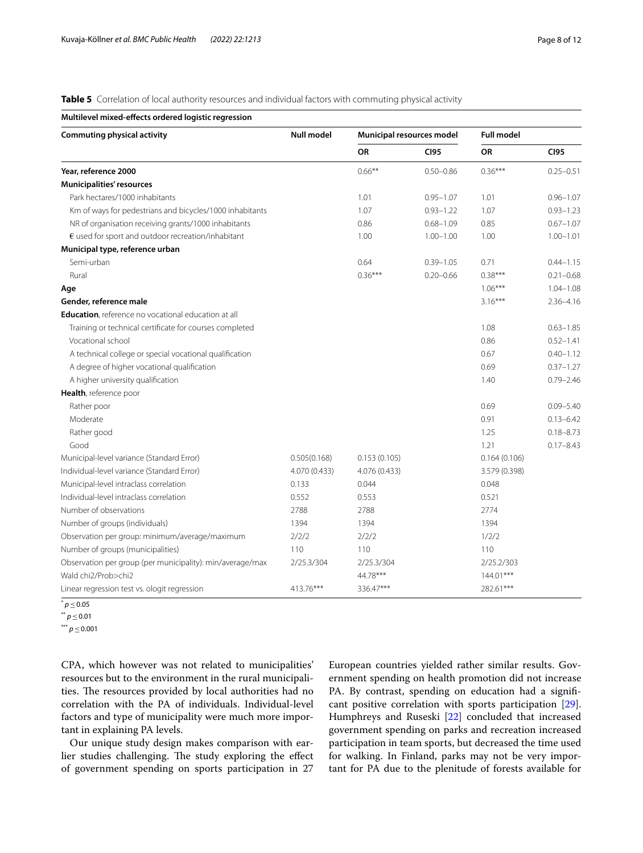<span id="page-7-0"></span>**Table 5** Correlation of local authority resources and individual factors with commuting physical activity

| Multilevel mixed-effects ordered logistic regression        |                                                |               |               |                   |               |  |
|-------------------------------------------------------------|------------------------------------------------|---------------|---------------|-------------------|---------------|--|
| <b>Commuting physical activity</b>                          | <b>Null model</b><br>Municipal resources model |               |               | <b>Full model</b> |               |  |
|                                                             |                                                | <b>OR</b>     | <b>CI95</b>   | <b>OR</b>         | <b>CI95</b>   |  |
| Year, reference 2000                                        |                                                | $0.66***$     | $0.50 - 0.86$ | $0.36***$         | $0.25 - 0.51$ |  |
| Municipalities' resources                                   |                                                |               |               |                   |               |  |
| Park hectares/1000 inhabitants                              |                                                | 1.01          | $0.95 - 1.07$ | 1.01              | $0.96 - 1.07$ |  |
| Km of ways for pedestrians and bicycles/1000 inhabitants    |                                                | 1.07          | $0.93 - 1.22$ | 1.07              | $0.93 - 1.23$ |  |
| NR of organisation receiving grants/1000 inhabitants        |                                                | 0.86          | $0.68 - 1.09$ | 0.85              | $0.67 - 1.07$ |  |
| $\epsilon$ used for sport and outdoor recreation/inhabitant |                                                | 1.00          | $1.00 - 1.00$ | 1.00              | $1.00 - 1.01$ |  |
| Municipal type, reference urban                             |                                                |               |               |                   |               |  |
| Semi-urban                                                  |                                                | 0.64          | $0.39 - 1.05$ | 0.71              | $0.44 - 1.15$ |  |
| Rural                                                       |                                                | $0.36***$     | $0.20 - 0.66$ | $0.38***$         | $0.21 - 0.68$ |  |
| Age                                                         |                                                |               |               | $1.06***$         | $1.04 - 1.08$ |  |
| Gender, reference male                                      |                                                |               |               | $3.16***$         | $2.36 - 4.16$ |  |
| <b>Education</b> , reference no vocational education at all |                                                |               |               |                   |               |  |
| Training or technical certificate for courses completed     |                                                |               |               | 1.08              | $0.63 - 1.85$ |  |
| Vocational school                                           |                                                |               |               | 0.86              | $0.52 - 1.41$ |  |
| A technical college or special vocational qualification     |                                                |               |               | 0.67              | $0.40 - 1.12$ |  |
| A degree of higher vocational qualification                 |                                                |               |               | 0.69              | $0.37 - 1.27$ |  |
| A higher university qualification                           |                                                |               |               | 1.40              | $0.79 - 2.46$ |  |
| Health, reference poor                                      |                                                |               |               |                   |               |  |
| Rather poor                                                 |                                                |               |               | 0.69              | $0.09 - 5.40$ |  |
| Moderate                                                    |                                                |               |               | 0.91              | $0.13 - 6.42$ |  |
| Rather good                                                 |                                                |               |               | 1.25              | $0.18 - 8.73$ |  |
| Good                                                        |                                                |               |               | 1.21              | $0.17 - 8.43$ |  |
| Municipal-level variance (Standard Error)                   | 0.505(0.168)                                   | 0.153(0.105)  |               | 0.164(0.106)      |               |  |
| Individual-level variance (Standard Error)                  | 4.070 (0.433)                                  | 4.076 (0.433) |               | 3.579 (0.398)     |               |  |
| Municipal-level intraclass correlation                      | 0.133                                          | 0.044         |               | 0.048             |               |  |
| Individual-level intraclass correlation                     | 0.552                                          | 0.553         |               | 0.521             |               |  |
| Number of observations                                      | 2788                                           | 2788          |               | 2774              |               |  |
| Number of groups (individuals)                              | 1394                                           | 1394          |               | 1394              |               |  |
| Observation per group: minimum/average/maximum              | 2/2/2                                          | 2/2/2         |               | 1/2/2             |               |  |
| Number of groups (municipalities)                           | 110                                            | 110           |               | 110               |               |  |
| Observation per group (per municipality): min/average/max   | 2/25.3/304                                     | 2/25.3/304    |               | 2/25.2/303        |               |  |
| Wald chi2/Prob>chi2                                         |                                                | 44.78***      |               | 144.01***         |               |  |
| Linear regression test vs. ologit regression                | 413.76***                                      | 336.47***     |               | 282.61***         |               |  |

<sup>\*</sup> *<sup>p</sup>*≤0.05

\*\* *<sup>p</sup>*≤0.01

\*\*\* *<sup>p</sup>*≤0.001

CPA, which however was not related to municipalities' resources but to the environment in the rural municipalities. The resources provided by local authorities had no correlation with the PA of individuals. Individual-level factors and type of municipality were much more important in explaining PA levels.

Our unique study design makes comparison with earlier studies challenging. The study exploring the effect of government spending on sports participation in 27 European countries yielded rather similar results. Government spending on health promotion did not increase PA. By contrast, spending on education had a significant positive correlation with sports participation [\[29](#page-10-22)]. Humphreys and Ruseski [\[22\]](#page-10-15) concluded that increased government spending on parks and recreation increased participation in team sports, but decreased the time used for walking. In Finland, parks may not be very important for PA due to the plenitude of forests available for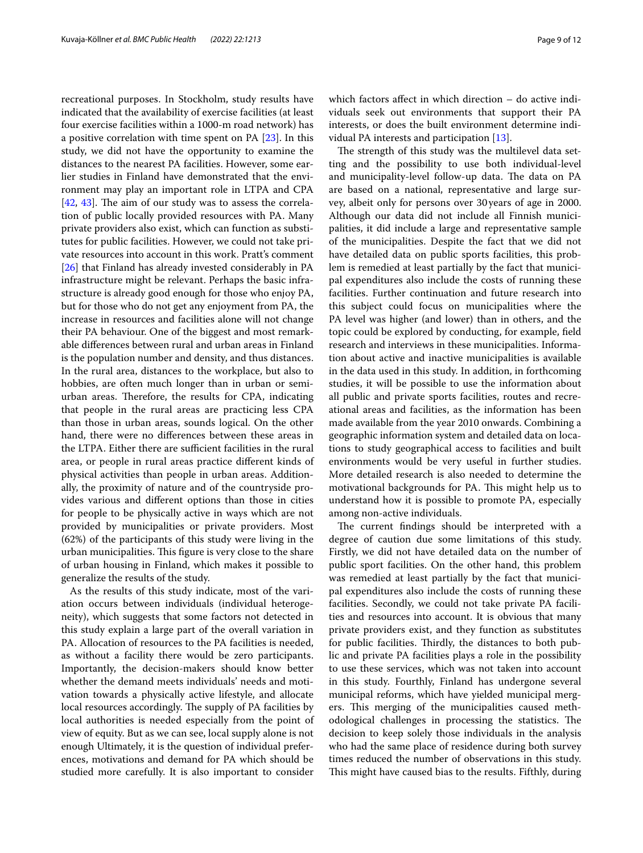recreational purposes. In Stockholm, study results have indicated that the availability of exercise facilities (at least four exercise facilities within a 1000-m road network) has a positive correlation with time spent on PA [[23\]](#page-10-16). In this study, we did not have the opportunity to examine the distances to the nearest PA facilities. However, some earlier studies in Finland have demonstrated that the environment may play an important role in LTPA and CPA  $[42, 43]$  $[42, 43]$  $[42, 43]$  $[42, 43]$ . The aim of our study was to assess the correlation of public locally provided resources with PA. Many private providers also exist, which can function as substitutes for public facilities. However, we could not take private resources into account in this work. Pratt's comment [[26\]](#page-10-19) that Finland has already invested considerably in PA infrastructure might be relevant. Perhaps the basic infrastructure is already good enough for those who enjoy PA, but for those who do not get any enjoyment from PA, the increase in resources and facilities alone will not change their PA behaviour. One of the biggest and most remarkable diferences between rural and urban areas in Finland is the population number and density, and thus distances. In the rural area, distances to the workplace, but also to hobbies, are often much longer than in urban or semiurban areas. Therefore, the results for CPA, indicating that people in the rural areas are practicing less CPA than those in urban areas, sounds logical. On the other hand, there were no diferences between these areas in the LTPA. Either there are sufficient facilities in the rural area, or people in rural areas practice diferent kinds of physical activities than people in urban areas. Additionally, the proximity of nature and of the countryside provides various and diferent options than those in cities for people to be physically active in ways which are not provided by municipalities or private providers. Most (62%) of the participants of this study were living in the urban municipalities. This figure is very close to the share of urban housing in Finland, which makes it possible to generalize the results of the study.

As the results of this study indicate, most of the variation occurs between individuals (individual heterogeneity), which suggests that some factors not detected in this study explain a large part of the overall variation in PA. Allocation of resources to the PA facilities is needed, as without a facility there would be zero participants. Importantly, the decision-makers should know better whether the demand meets individuals' needs and motivation towards a physically active lifestyle, and allocate local resources accordingly. The supply of PA facilities by local authorities is needed especially from the point of view of equity. But as we can see, local supply alone is not enough Ultimately, it is the question of individual preferences, motivations and demand for PA which should be studied more carefully. It is also important to consider

which factors afect in which direction – do active individuals seek out environments that support their PA interests, or does the built environment determine individual PA interests and participation [\[13](#page-10-33)].

The strength of this study was the multilevel data setting and the possibility to use both individual-level and municipality-level follow-up data. The data on PA are based on a national, representative and large survey, albeit only for persons over 30years of age in 2000. Although our data did not include all Finnish municipalities, it did include a large and representative sample of the municipalities. Despite the fact that we did not have detailed data on public sports facilities, this problem is remedied at least partially by the fact that municipal expenditures also include the costs of running these facilities. Further continuation and future research into this subject could focus on municipalities where the PA level was higher (and lower) than in others, and the topic could be explored by conducting, for example, feld research and interviews in these municipalities. Information about active and inactive municipalities is available in the data used in this study. In addition, in forthcoming studies, it will be possible to use the information about all public and private sports facilities, routes and recreational areas and facilities, as the information has been made available from the year 2010 onwards. Combining a geographic information system and detailed data on locations to study geographical access to facilities and built environments would be very useful in further studies. More detailed research is also needed to determine the motivational backgrounds for PA. This might help us to understand how it is possible to promote PA, especially among non-active individuals.

The current findings should be interpreted with a degree of caution due some limitations of this study. Firstly, we did not have detailed data on the number of public sport facilities. On the other hand, this problem was remedied at least partially by the fact that municipal expenditures also include the costs of running these facilities. Secondly, we could not take private PA facilities and resources into account. It is obvious that many private providers exist, and they function as substitutes for public facilities. Thirdly, the distances to both public and private PA facilities plays a role in the possibility to use these services, which was not taken into account in this study. Fourthly, Finland has undergone several municipal reforms, which have yielded municipal mergers. This merging of the municipalities caused methodological challenges in processing the statistics. The decision to keep solely those individuals in the analysis who had the same place of residence during both survey times reduced the number of observations in this study. This might have caused bias to the results. Fifthly, during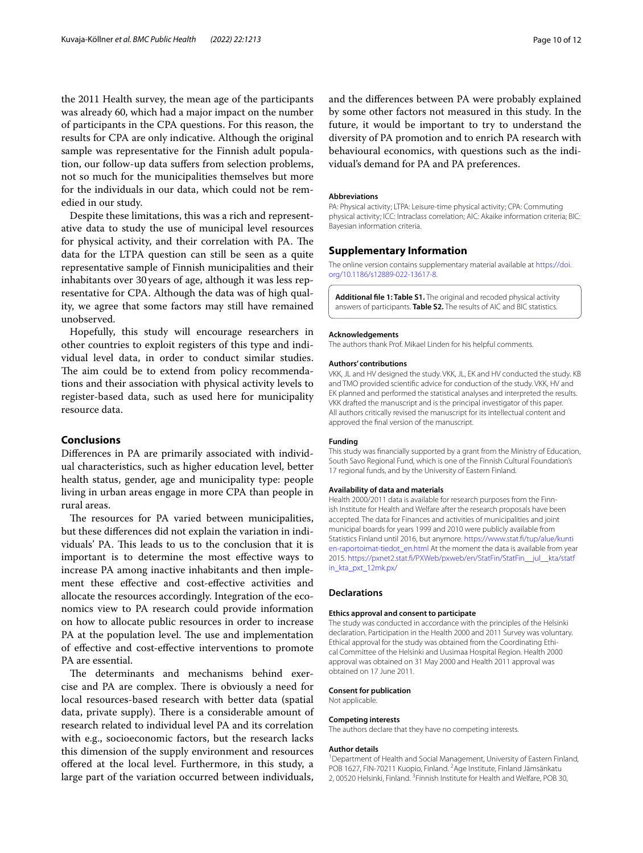the 2011 Health survey, the mean age of the participants was already 60, which had a major impact on the number of participants in the CPA questions. For this reason, the results for CPA are only indicative. Although the original sample was representative for the Finnish adult population, our follow-up data sufers from selection problems, not so much for the municipalities themselves but more for the individuals in our data, which could not be remedied in our study.

Despite these limitations, this was a rich and representative data to study the use of municipal level resources for physical activity, and their correlation with PA. The data for the LTPA question can still be seen as a quite representative sample of Finnish municipalities and their inhabitants over 30years of age, although it was less representative for CPA. Although the data was of high quality, we agree that some factors may still have remained unobserved.

Hopefully, this study will encourage researchers in other countries to exploit registers of this type and individual level data, in order to conduct similar studies. The aim could be to extend from policy recommendations and their association with physical activity levels to register-based data, such as used here for municipality resource data.

### **Conclusions**

Diferences in PA are primarily associated with individual characteristics, such as higher education level, better health status, gender, age and municipality type: people living in urban areas engage in more CPA than people in rural areas.

The resources for PA varied between municipalities, but these diferences did not explain the variation in individuals' PA. This leads to us to the conclusion that it is important is to determine the most efective ways to increase PA among inactive inhabitants and then implement these efective and cost-efective activities and allocate the resources accordingly. Integration of the economics view to PA research could provide information on how to allocate public resources in order to increase PA at the population level. The use and implementation of efective and cost-efective interventions to promote PA are essential.

The determinants and mechanisms behind exercise and PA are complex. There is obviously a need for local resources-based research with better data (spatial data, private supply). There is a considerable amount of research related to individual level PA and its correlation with e.g., socioeconomic factors, but the research lacks this dimension of the supply environment and resources ofered at the local level. Furthermore, in this study, a large part of the variation occurred between individuals,

and the diferences between PA were probably explained by some other factors not measured in this study. In the future, it would be important to try to understand the diversity of PA promotion and to enrich PA research with behavioural economics, with questions such as the individual's demand for PA and PA preferences.

#### **Abbreviations**

PA: Physical activity; LTPA: Leisure-time physical activity; CPA: Commuting physical activity; ICC: Intraclass correlation; AIC: Akaike information criteria; BIC: Bayesian information criteria.

## **Supplementary Information**

The online version contains supplementary material available at [https://doi.](https://doi.org/10.1186/s12889-022-13617-8) [org/10.1186/s12889-022-13617-8](https://doi.org/10.1186/s12889-022-13617-8).

<span id="page-9-0"></span>**Additional fle 1: Table S1.** The original and recoded physical activity answers of participants. **Table S2.** The results of AIC and BIC statistics.

#### **Acknowledgements**

The authors thank Prof. Mikael Linden for his helpful comments.

#### **Authors' contributions**

VKK, JL and HV designed the study. VKK, JL, EK and HV conducted the study. KB and TMO provided scientifc advice for conduction of the study. VKK, HV and EK planned and performed the statistical analyses and interpreted the results. VKK drafted the manuscript and is the principal investigator of this paper. All authors critically revised the manuscript for its intellectual content and approved the fnal version of the manuscript.

#### **Funding**

This study was fnancially supported by a grant from the Ministry of Education, South Savo Regional Fund, which is one of the Finnish Cultural Foundation's 17 regional funds, and by the University of Eastern Finland.

#### **Availability of data and materials**

Health 2000/2011 data is available for research purposes from the Finnish Institute for Health and Welfare after the research proposals have been accepted. The data for Finances and activities of municipalities and joint municipal boards for years 1999 and 2010 were publicly available from Statistics Finland until 2016, but anymore. [https://www.stat.f/tup/alue/kunti](https://www.stat.fi/tup/alue/kuntien-raportoimat-tiedot_en.html) [en-raportoimat-tiedot\\_en.html](https://www.stat.fi/tup/alue/kuntien-raportoimat-tiedot_en.html) At the moment the data is available from year 2015. [https://pxnet2.stat.f/PXWeb/pxweb/en/StatFin/StatFin\\_\\_jul\\_\\_kta/statf](https://pxnet2.stat.fi/PXWeb/pxweb/en/StatFin/StatFin__jul__kta/statfin_kta_pxt_12mk.px/) [in\\_kta\\_pxt\\_12mk.px/](https://pxnet2.stat.fi/PXWeb/pxweb/en/StatFin/StatFin__jul__kta/statfin_kta_pxt_12mk.px/)

#### **Declarations**

#### **Ethics approval and consent to participate**

The study was conducted in accordance with the principles of the Helsinki declaration. Participation in the Health 2000 and 2011 Survey was voluntary. Ethical approval for the study was obtained from the Coordinating Ethical Committee of the Helsinki and Uusimaa Hospital Region. Health 2000 approval was obtained on 31 May 2000 and Health 2011 approval was obtained on 17 June 2011.

#### **Consent for publication**

Not applicable.

#### **Competing interests**

The authors declare that they have no competing interests.

#### **Author details**

<sup>1</sup> Department of Health and Social Management, University of Eastern Finland, POB 1627, FIN-70211 Kuopio, Finland. <sup>2</sup>Age Institute, Finland Jämsänkatu 2, 00520 Helsinki, Finland. <sup>3</sup> Finnish Institute for Health and Welfare, POB 30,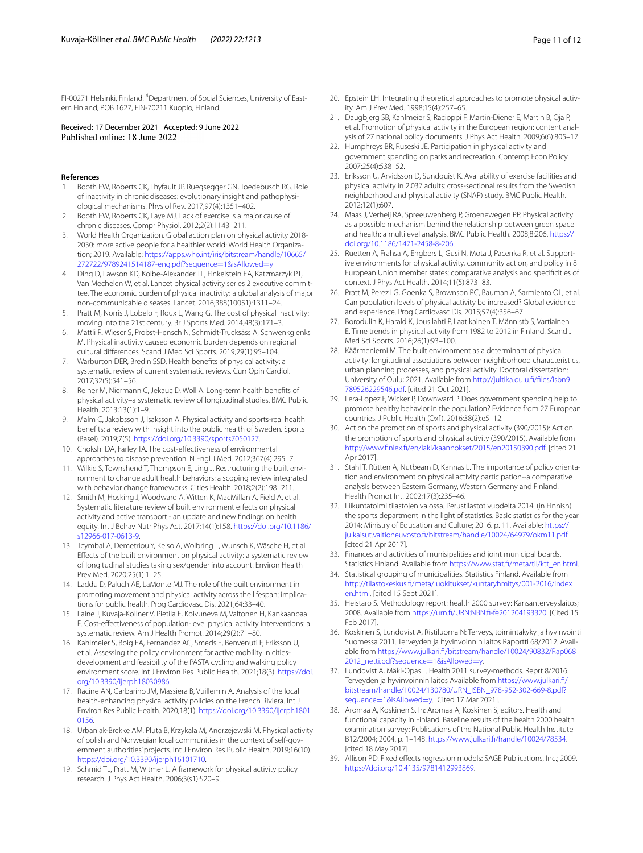FI-00271 Helsinki, Finland. <sup>4</sup>Department of Social Sciences, University of Eastern Finland, POB 1627, FIN‑70211 Kuopio, Finland.

## Received: 17 December 2021 Accepted: 9 June 2022

#### **References**

- <span id="page-10-0"></span>1. Booth FW, Roberts CK, Thyfault JP, Ruegsegger GN, Toedebusch RG. Role of inactivity in chronic diseases: evolutionary insight and pathophysiological mechanisms. Physiol Rev. 2017;97(4):1351–402.
- 2. Booth FW, Roberts CK, Laye MJ. Lack of exercise is a major cause of chronic diseases. Compr Physiol. 2012;2(2):1143–211.
- <span id="page-10-1"></span>3. World Health Organization. Global action plan on physical activity 2018-2030: more active people for a healthier world: World Health Organization; 2019. Available: [https://apps.who.int/iris/bitstream/handle/10665/](https://apps.who.int/iris/bitstream/handle/10665/272722/9789241514187-eng.pdf?sequence=1&isAllowed=y) [272722/9789241514187-eng.pdf?sequence](https://apps.who.int/iris/bitstream/handle/10665/272722/9789241514187-eng.pdf?sequence=1&isAllowed=y)=1&isAllowed=y
- <span id="page-10-2"></span>4. Ding D, Lawson KD, Kolbe-Alexander TL, Finkelstein EA, Katzmarzyk PT, Van Mechelen W, et al. Lancet physical activity series 2 executive committee. The economic burden of physical inactivity: a global analysis of major non-communicable diseases. Lancet. 2016;388(10051):1311–24.
- <span id="page-10-3"></span>Pratt M, Norris J, Lobelo F, Roux L, Wang G. The cost of physical inactivity: moving into the 21st century. Br J Sports Med. 2014;48(3):171–3.
- <span id="page-10-4"></span>6. Mattli R, Wieser S, Probst-Hensch N, Schmidt-Trucksäss A, Schwenkglenks M. Physical inactivity caused economic burden depends on regional cultural diferences. Scand J Med Sci Sports. 2019;29(1):95–104.
- <span id="page-10-5"></span>7. Warburton DER, Bredin SSD. Health benefts of physical activity: a systematic review of current systematic reviews. Curr Opin Cardiol. 2017;32(5):541–56.
- 8. Reiner M, Niermann C, Jekauc D, Woll A. Long-term health benefts of physical activity–a systematic review of longitudinal studies. BMC Public Health. 2013;13(1):1–9.
- <span id="page-10-6"></span>9. Malm C, Jakobsson J, Isaksson A. Physical activity and sports-real health benefts: a review with insight into the public health of Sweden. Sports (Basel). 2019;7(5). [https://doi.org/10.3390/sports7050127.](https://doi.org/10.3390/sports7050127)
- <span id="page-10-7"></span>10. Chokshi DA, Farley TA. The cost-efectiveness of environmental approaches to disease prevention. N Engl J Med. 2012;367(4):295–7.
- <span id="page-10-8"></span>11. Wilkie S, Townshend T, Thompson E, Ling J. Restructuring the built environment to change adult health behaviors: a scoping review integrated with behavior change frameworks. Cities Health. 2018;2(2):198–211.
- <span id="page-10-9"></span>12. Smith M, Hosking J, Woodward A, Witten K, MacMillan A, Field A, et al. Systematic literature review of built environment effects on physical activity and active transport - an update and new fndings on health equity. Int J Behav Nutr Phys Act. 2017;14(1):158. [https://doi.org/10.1186/](https://doi.org/10.1186/s12966-017-0613-9) [s12966-017-0613-9.](https://doi.org/10.1186/s12966-017-0613-9)
- <span id="page-10-33"></span>13. Tcymbal A, Demetriou Y, Kelso A, Wolbring L, Wunsch K, Wäsche H, et al. Efects of the built environment on physical activity: a systematic review of longitudinal studies taking sex/gender into account. Environ Health Prev Med. 2020;25(1):1–25.
- <span id="page-10-10"></span>14. Laddu D, Paluch AE, LaMonte MJ. The role of the built environment in promoting movement and physical activity across the lifespan: implications for public health. Prog Cardiovasc Dis. 2021;64:33–40.
- <span id="page-10-11"></span>15. Laine J, Kuvaja-Kollner V, Pietila E, Koivuneva M, Valtonen H, Kankaanpaa E. Cost-efectiveness of population-level physical activity interventions: a systematic review. Am J Health Promot. 2014;29(2):71–80.
- 16. Kahlmeier S, Boig EA, Fernandez AC, Smeds E, Benvenuti F, Eriksson U, et al. Assessing the policy environment for active mobility in citiesdevelopment and feasibility of the PASTA cycling and walking policy environment score. Int J Environ Res Public Health. 2021;18(3). [https://doi.](https://doi.org/10.3390/ijerph18030986) [org/10.3390/ijerph18030986.](https://doi.org/10.3390/ijerph18030986)
- 17. Racine AN, Garbarino JM, Massiera B, Vuillemin A. Analysis of the local health-enhancing physical activity policies on the French Riviera. Int J Environ Res Public Health. 2020;18(1). [https://doi.org/10.3390/ijerph1801](https://doi.org/10.3390/ijerph18010156) [0156](https://doi.org/10.3390/ijerph18010156).
- 18. Urbaniak-Brekke AM, Pluta B, Krzykala M, Andrzejewski M. Physical activity of polish and Norwegian local communities in the context of self-government authorities' projects. Int J Environ Res Public Health. 2019;16(10). <https://doi.org/10.3390/ijerph16101710>.
- <span id="page-10-12"></span>19. Schmid TL, Pratt M, Witmer L. A framework for physical activity policy research. J Phys Act Health. 2006;3(s1):S20–9.
- <span id="page-10-13"></span>20. Epstein LH. Integrating theoretical approaches to promote physical activity. Am J Prev Med. 1998;15(4):257–65.
- <span id="page-10-14"></span>21. Daugbjerg SB, Kahlmeier S, Racioppi F, Martin-Diener E, Martin B, Oja P, et al. Promotion of physical activity in the European region: content analysis of 27 national policy documents. J Phys Act Health. 2009;6(6):805–17.
- <span id="page-10-15"></span>22. Humphreys BR, Ruseski JE. Participation in physical activity and government spending on parks and recreation. Contemp Econ Policy. 2007;25(4):538–52.
- <span id="page-10-16"></span>23. Eriksson U, Arvidsson D, Sundquist K. Availability of exercise facilities and physical activity in 2,037 adults: cross-sectional results from the Swedish neighborhood and physical activity (SNAP) study. BMC Public Health. 2012;12(1):607.
- <span id="page-10-17"></span>24. Maas J, Verheij RA, Spreeuwenberg P, Groenewegen PP. Physical activity as a possible mechanism behind the relationship between green space and health: a multilevel analysis. BMC Public Health. 2008;8:206. [https://](https://doi.org/10.1186/1471-2458-8-206) [doi.org/10.1186/1471-2458-8-206](https://doi.org/10.1186/1471-2458-8-206).
- <span id="page-10-18"></span>25. Ruetten A, Frahsa A, Engbers L, Gusi N, Mota J, Pacenka R, et al. Supportive environments for physical activity, community action, and policy in 8 European Union member states: comparative analysis and specifcities of context. J Phys Act Health. 2014;11(5):873–83.
- <span id="page-10-19"></span>26. Pratt M, Perez LG, Goenka S, Brownson RC, Bauman A, Sarmiento OL, et al. Can population levels of physical activity be increased? Global evidence and experience. Prog Cardiovasc Dis. 2015;57(4):356–67.
- <span id="page-10-20"></span>27. Borodulin K, Harald K, Jousilahti P, Laatikainen T, Männistö S, Vartiainen E. Time trends in physical activity from 1982 to 2012 in Finland. Scand J Med Sci Sports. 2016;26(1):93–100.
- <span id="page-10-21"></span>28. Käärmeniemi M. The built environment as a determinant of physical activity: longitudinal associations between neighborhood characteristics, urban planning processes, and physical activity. Doctoral dissertation: University of Oulu; 2021. Available from [http://jultika.oulu.f/fles/isbn9](http://jultika.oulu.fi/files/isbn9789526229546.pdf) [789526229546.pdf.](http://jultika.oulu.fi/files/isbn9789526229546.pdf) [cited 21 Oct 2021].
- <span id="page-10-22"></span>29. Lera-Lopez F, Wicker P, Downward P. Does government spending help to promote healthy behavior in the population? Evidence from 27 European countries. J Public Health (Oxf ). 2016;38(2):e5–12.
- <span id="page-10-23"></span>30. Act on the promotion of sports and physical activity (390/2015): Act on the promotion of sports and physical activity (390/2015). Available from [http://www.fnlex.f/en/laki/kaannokset/2015/en20150390.pdf](http://www.finlex.fi/en/laki/kaannokset/2015/en20150390.pdf). [cited 21 Apr 2017].
- <span id="page-10-24"></span>31. Stahl T, Rütten A, Nutbeam D, Kannas L. The importance of policy orientation and environment on physical activity participation--a comparative analysis between Eastern Germany, Western Germany and Finland. Health Promot Int. 2002;17(3):235–46.
- <span id="page-10-25"></span>32. Liikuntatoimi tilastojen valossa. Perustilastot vuodelta 2014. (in Finnish) the sports department in the light of statistics. Basic statistics for the year 2014: Ministry of Education and Culture; 2016. p. 11. Available: [https://](https://julkaisut.valtioneuvosto.fi/bitstream/handle/10024/64979/okm11.pdf) [julkaisut.valtioneuvosto.f/bitstream/handle/10024/64979/okm11.pdf.](https://julkaisut.valtioneuvosto.fi/bitstream/handle/10024/64979/okm11.pdf) [cited 21 Apr 2017].
- <span id="page-10-26"></span>33. Finances and activities of munisipalities and joint municipal boards. Statistics Finland. Available from https://www.stat.fi/meta/til/ktt\_en.html.
- <span id="page-10-27"></span>34. Statistical grouping of municipalities. Statistics Finland. Available from [http://tilastokeskus.f/meta/luokitukset/kuntaryhmitys/001-2016/index\\_](http://tilastokeskus.fi/meta/luokitukset/kuntaryhmitys/001-2016/index_en.html) [en.html.](http://tilastokeskus.fi/meta/luokitukset/kuntaryhmitys/001-2016/index_en.html) [cited 15 Sept 2021].
- <span id="page-10-28"></span>35. Heistaro S. Methodology report: health 2000 survey: Kansanterveyslaitos; 2008. Available from [https://urn.f/URN:NBN:f-fe201204193320](https://urn.fi/URN:NBN:fi-fe201204193320). [Cited 15 Feb 2017].
- <span id="page-10-29"></span>36. Koskinen S, Lundqvist A, Ristiluoma N: Terveys, toimintakyky ja hyvinvointi Suomessa 2011. Terveyden ja hyvinvoinnin laitos Raportti 68/2012. Avail‑ able from [https://www.julkari.f/bitstream/handle/10024/90832/Rap068\\_](https://www.julkari.fi/bitstream/handle/10024/90832/Rap068_2012_netti.pdf?sequence=1&isAllowed=y) [2012\\_netti.pdf?sequence](https://www.julkari.fi/bitstream/handle/10024/90832/Rap068_2012_netti.pdf?sequence=1&isAllowed=y)=1&isAllowed=y.
- <span id="page-10-30"></span>37. Lundqvist A, Mäki-Opas T. Health 2011 survey-methods. Reprt 8/2016. Terveyden ja hyvinvoinnin laitos Available from [https://www.julkari.f/](https://www.julkari.fi/bitstream/handle/10024/130780/URN_ISBN_978-952-302-669-8.pdf?sequence=1&isAllowed=y) [bitstream/handle/10024/130780/URN\\_ISBN\\_978-952-302-669-8.pdf?](https://www.julkari.fi/bitstream/handle/10024/130780/URN_ISBN_978-952-302-669-8.pdf?sequence=1&isAllowed=y) sequence=1&isAllowed=y. [Cited 17 Mar 2021].
- <span id="page-10-31"></span>38. [Aromaa A, Koskinen S. In: A](https://www.julkari.fi/bitstream/handle/10024/130780/URN_ISBN_978-952-302-669-8.pdf?sequence=1&isAllowed=y)romaa A, Koskinen S, editors. Health and functional capacity in Finland. Baseline results of the health 2000 health examination survey: Publications of the National Public Health Institute B12/2004; 2004. p. 1–148. [https://www.julkari.f/handle/10024/78534](https://www.julkari.fi/handle/10024/78534). [cited 18 May 2017].
- <span id="page-10-32"></span>39. Allison PD. Fixed effects regression models: SAGE Publications, Inc.; 2009. <https://doi.org/10.4135/9781412993869>.